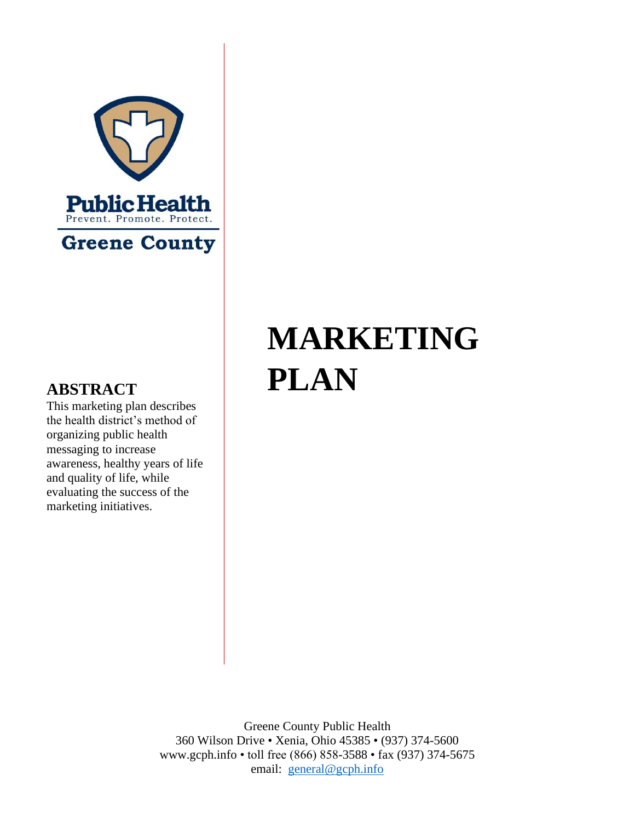

# **MARKETING ABSTRACT PLAN**

This marketing plan describes the health district's method of organizing public health messaging to increase awareness, healthy years of life and quality of life, while evaluating the success of the marketing initiatives.

> Greene County Public Health 360 Wilson Drive • Xenia, Ohio 45385 • (937) 374-5600 www.gcph.info • toll free (866) 858-3588 • fax (937) 374-5675 email: [general@gcph.info](mailto:general@gcph.info)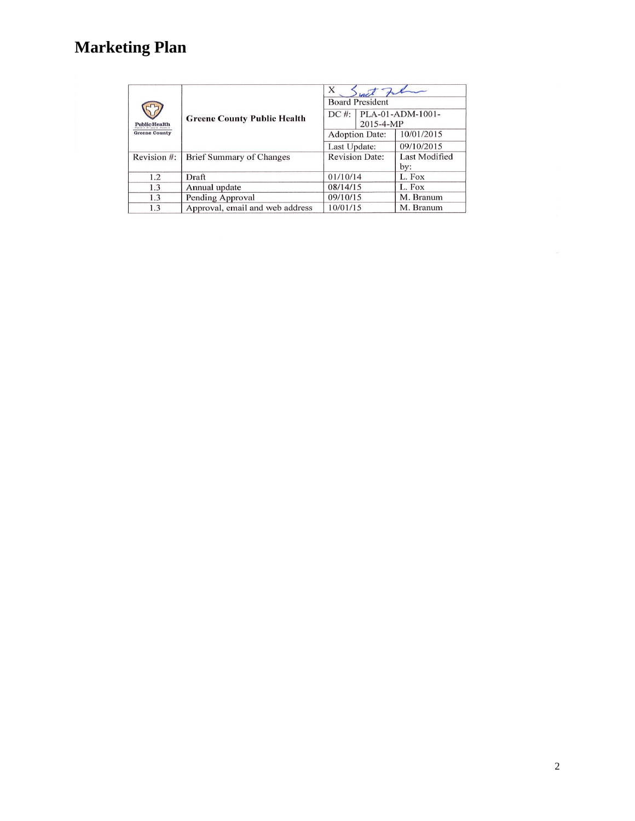| <b>Public Health</b><br><b>Greene County</b> | <b>Greene County Public Health</b> | X<br>with Falmer<br><b>Board President</b><br>$DC \#:  PLA-01-ADM-1001-$<br>2015-4-MP |                      |
|----------------------------------------------|------------------------------------|---------------------------------------------------------------------------------------|----------------------|
|                                              |                                    | <b>Adoption Date:</b>                                                                 | 10/01/2015           |
|                                              |                                    | Last Update:                                                                          | 09/10/2015           |
| Revision #:                                  | <b>Brief Summary of Changes</b>    | <b>Revision Date:</b>                                                                 | Last Modified<br>by: |
| 1.2                                          | Draft                              | 01/10/14                                                                              | L. Fox               |
| 1.3                                          | Annual update                      | 08/14/15                                                                              | L. Fox               |
| 1.3                                          | Pending Approval                   | 09/10/15                                                                              | M. Branum            |
| 1.3                                          | Approval, email and web address    | 10/01/15                                                                              | M. Branum            |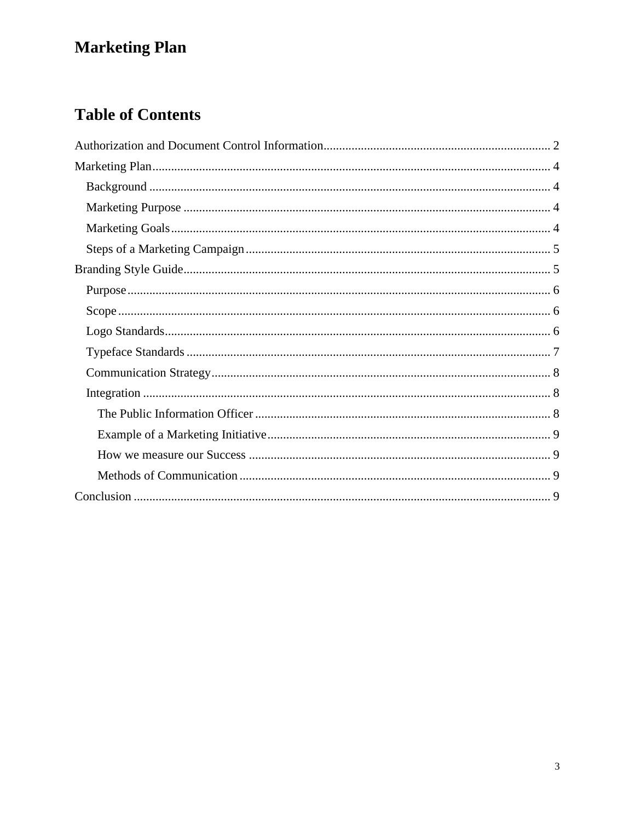### **Table of Contents**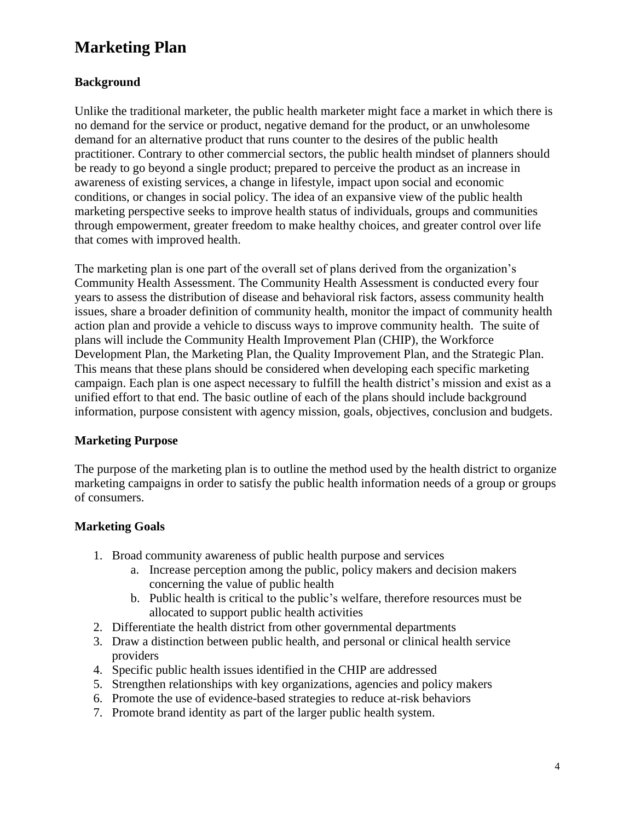### <span id="page-3-0"></span>**Background**

Unlike the traditional marketer, the public health marketer might face a market in which there is no demand for the service or product, negative demand for the product, or an unwholesome demand for an alternative product that runs counter to the desires of the public health practitioner. Contrary to other commercial sectors, the public health mindset of planners should be ready to go beyond a single product; prepared to perceive the product as an increase in awareness of existing services, a change in lifestyle, impact upon social and economic conditions, or changes in social policy. The idea of an expansive view of the public health marketing perspective seeks to improve health status of individuals, groups and communities through empowerment, greater freedom to make healthy choices, and greater control over life that comes with improved health.

The marketing plan is one part of the overall set of plans derived from the organization's Community Health Assessment. The Community Health Assessment is conducted every four years to assess the distribution of disease and behavioral risk factors, assess community health issues, share a broader definition of community health, monitor the impact of community health action plan and provide a vehicle to discuss ways to improve community health. The suite of plans will include the Community Health Improvement Plan (CHIP), the Workforce Development Plan, the Marketing Plan, the Quality Improvement Plan, and the Strategic Plan. This means that these plans should be considered when developing each specific marketing campaign. Each plan is one aspect necessary to fulfill the health district's mission and exist as a unified effort to that end. The basic outline of each of the plans should include background information, purpose consistent with agency mission, goals, objectives, conclusion and budgets.

### <span id="page-3-1"></span>**Marketing Purpose**

The purpose of the marketing plan is to outline the method used by the health district to organize marketing campaigns in order to satisfy the public health information needs of a group or groups of consumers.

### <span id="page-3-2"></span>**Marketing Goals**

- 1. Broad community awareness of public health purpose and services
	- a. Increase perception among the public, policy makers and decision makers concerning the value of public health
	- b. Public health is critical to the public's welfare, therefore resources must be allocated to support public health activities
- 2. Differentiate the health district from other governmental departments
- 3. Draw a distinction between public health, and personal or clinical health service providers
- 4. Specific public health issues identified in the CHIP are addressed
- 5. Strengthen relationships with key organizations, agencies and policy makers
- 6. Promote the use of evidence-based strategies to reduce at-risk behaviors
- 7. Promote brand identity as part of the larger public health system.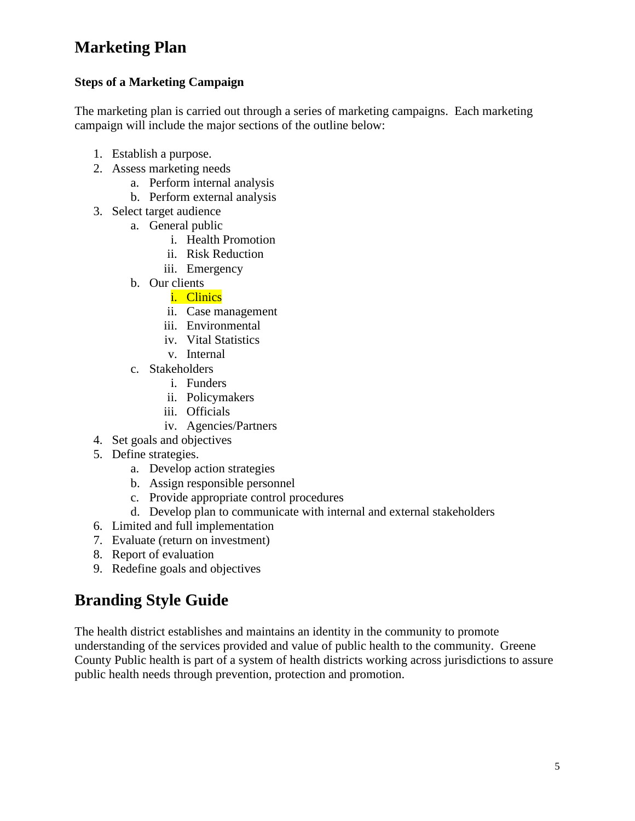### <span id="page-4-0"></span>**Steps of a Marketing Campaign**

The marketing plan is carried out through a series of marketing campaigns. Each marketing campaign will include the major sections of the outline below:

- 1. Establish a purpose.
- 2. Assess marketing needs
	- a. Perform internal analysis
	- b. Perform external analysis
- 3. Select target audience
	- a. General public
		- i. Health Promotion
		- ii. Risk Reduction
		- iii. Emergency
	- b. Our clients
		- i. Clinics
		- ii. Case management
		- iii. Environmental
		- iv. Vital Statistics
		- v. Internal
	- c. Stakeholders
		- i. Funders
		- ii. Policymakers
		- iii. Officials
		- iv. Agencies/Partners
- 4. Set goals and objectives
- 5. Define strategies.
	- a. Develop action strategies
	- b. Assign responsible personnel
	- c. Provide appropriate control procedures
	- d. Develop plan to communicate with internal and external stakeholders
- 6. Limited and full implementation
- 7. Evaluate (return on investment)
- 8. Report of evaluation
- 9. Redefine goals and objectives

### <span id="page-4-1"></span>**Branding Style Guide**

The health district establishes and maintains an identity in the community to promote understanding of the services provided and value of public health to the community. Greene County Public health is part of a system of health districts working across jurisdictions to assure public health needs through prevention, protection and promotion.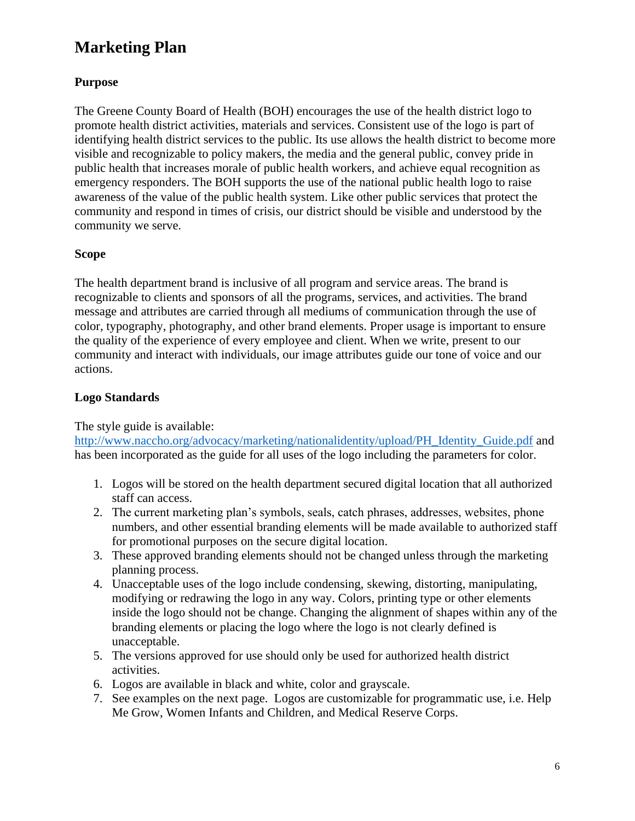### <span id="page-5-0"></span>**Purpose**

The Greene County Board of Health (BOH) encourages the use of the health district logo to promote health district activities, materials and services. Consistent use of the logo is part of identifying health district services to the public. Its use allows the health district to become more visible and recognizable to policy makers, the media and the general public, convey pride in public health that increases morale of public health workers, and achieve equal recognition as emergency responders. The BOH supports the use of the national public health logo to raise awareness of the value of the public health system. Like other public services that protect the community and respond in times of crisis, our district should be visible and understood by the community we serve.

### <span id="page-5-1"></span>**Scope**

The health department brand is inclusive of all program and service areas. The brand is recognizable to clients and sponsors of all the programs, services, and activities. The brand message and attributes are carried through all mediums of communication through the use of color, typography, photography, and other brand elements. Proper usage is important to ensure the quality of the experience of every employee and client. When we write, present to our community and interact with individuals, our image attributes guide our tone of voice and our actions.

### <span id="page-5-2"></span>**Logo Standards**

### The style guide is available:

[http://www.naccho.org/advocacy/marketing/nationalidentity/upload/PH\\_Identity\\_Guide.pdf](http://www.naccho.org/advocacy/marketing/nationalidentity/upload/PH_Identity_Guide.pdf) and has been incorporated as the guide for all uses of the logo including the parameters for color.

- 1. Logos will be stored on the health department secured digital location that all authorized staff can access.
- 2. The current marketing plan's symbols, seals, catch phrases, addresses, websites, phone numbers, and other essential branding elements will be made available to authorized staff for promotional purposes on the secure digital location.
- 3. These approved branding elements should not be changed unless through the marketing planning process.
- 4. Unacceptable uses of the logo include condensing, skewing, distorting, manipulating, modifying or redrawing the logo in any way. Colors, printing type or other elements inside the logo should not be change. Changing the alignment of shapes within any of the branding elements or placing the logo where the logo is not clearly defined is unacceptable.
- 5. The versions approved for use should only be used for authorized health district activities.
- 6. Logos are available in black and white, color and grayscale.
- 7. See examples on the next page. Logos are customizable for programmatic use, i.e. Help Me Grow, Women Infants and Children, and Medical Reserve Corps.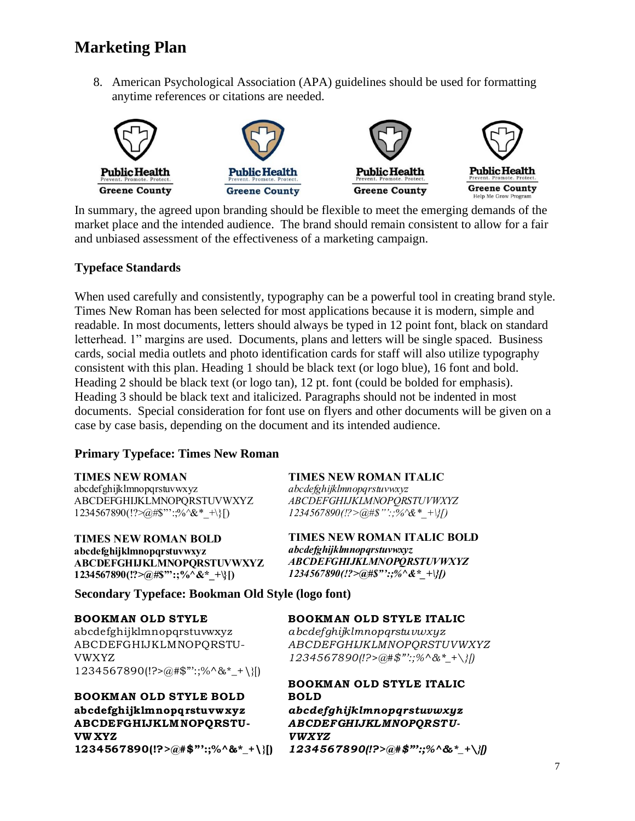8. American Psychological Association (APA) guidelines should be used for formatting anytime references or citations are needed.



In summary, the agreed upon branding should be flexible to meet the emerging demands of the market place and the intended audience. The brand should remain consistent to allow for a fair and unbiased assessment of the effectiveness of a marketing campaign.

#### <span id="page-6-0"></span>**Typeface Standards**

When used carefully and consistently, typography can be a powerful tool in creating brand style. Times New Roman has been selected for most applications because it is modern, simple and readable. In most documents, letters should always be typed in 12 point font, black on standard letterhead. 1" margins are used. Documents, plans and letters will be single spaced. Business cards, social media outlets and photo identification cards for staff will also utilize typography consistent with this plan. Heading 1 should be black text (or logo blue), 16 font and bold. Heading 2 should be black text (or logo tan), 12 pt. font (could be bolded for emphasis). Heading 3 should be black text and italicized. Paragraphs should not be indented in most documents. Special consideration for font use on flyers and other documents will be given on a case by case basis, depending on the document and its intended audience.

#### **Primary Typeface: Times New Roman**

#### **TIMES NEW ROMAN**

abcdefghijklmnopqrstuvwxyz ABCDEFGHIJKLMNOPQRSTUVWXYZ  $1234567890(!!\text{?}\text{@}\#\$""\text{?}\text{%}\text{@}\text{*}\text{A}^*$  +\}[)

**TIMES NEW ROMAN BOLD** abcdefghijklmnopqrstuvwxyz **ABCDEFGHIJKLMNOPQRSTUVWXYZ** 1234567890(!?>@#\$"':;%^&\*\_+\}[)

**TIMES NEW ROMAN ITALIC** 

*abcdefghijklmnopqrstuvwxyz* **ABCDEFGHIJKLMNOPORSTUVWXYZ**  $1234567890$ (!?>@#\$"':;%^&\* +\}[)

**TIMES NEW ROMAN ITALIC BOLD** *abcdefghijklmnopqrstuvwxyz* **ABCDEFGHIJKLMNOPQRSTUVWXYZ**  $1234567890$ (!?> $@#\$$ "':;%^&\* +\}[)

**Secondary Typeface: Bookman Old Style (logo font)**

#### **BOOKMAN OLD STYLE**

abcdefghijklmnopqrstuvwxyz ABCDEFGHIJKLMNOPQRSTU-VWXYZ

1234567890(!?>@#\$"':;%^&\*\_+\}[) **abcdefghijklmnopqrstuvw xyz BOOKMAN OLD STYLE BOLD ABCDEFGHIJKLMNOPQRSTU-**BOOKM<br>abcdefg<br>ABCDE<br>VW XYZ<br>123456 **1234567890(!?>@#\$"':;%^&\*\_+\}[)**

#### **BOOKMAN OLD STYLE ITALIC**

*abcdefghijklmnopqrstuvwxyz ABCDEFGHIJKLMNOPQRSTUVWXYZ* **BOOKMAN OLD STYLE ITALIC**<br>abcdefghijklmnopqrstuvwxyz<br>ABCDEFGHIJKLMNOPQRSTUVWXYZ<br>1234567890(!?>@#\$"':;%^&\*\_+\}[)

#### **BOOKMAN OLD STYLE ITALIC BOLD**

*abcdefghijklmnopqrstuvwxyz ABCDEFGHIJKLMNOPQRSTU-VWXYZ 1234567890(!?>@#\$"':;%^&\*\_+\}[)*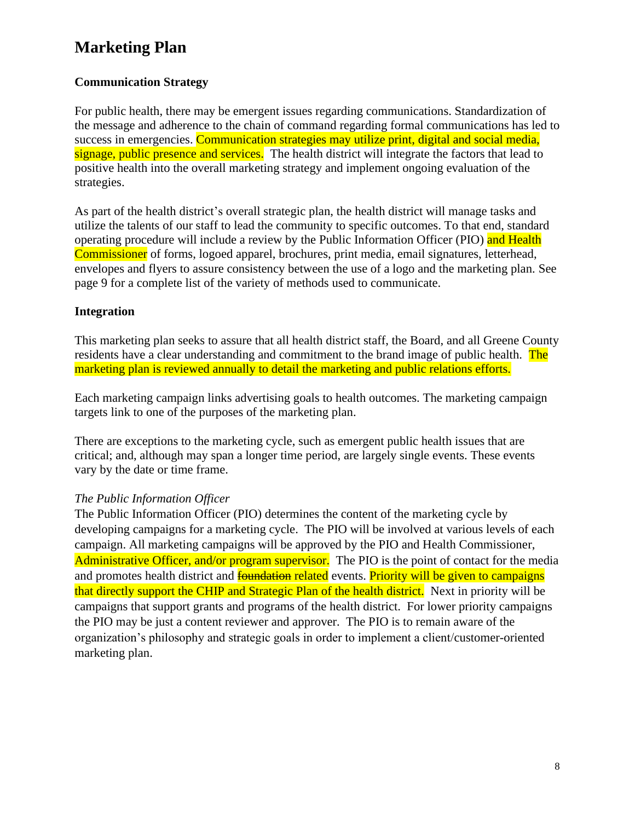### <span id="page-7-0"></span>**Communication Strategy**

For public health, there may be emergent issues regarding communications. Standardization of the message and adherence to the chain of command regarding formal communications has led to success in emergencies. Communication strategies may utilize print, digital and social media, signage, public presence and services. The health district will integrate the factors that lead to positive health into the overall marketing strategy and implement ongoing evaluation of the strategies.

As part of the health district's overall strategic plan, the health district will manage tasks and utilize the talents of our staff to lead the community to specific outcomes. To that end, standard operating procedure will include a review by the Public Information Officer (PIO) and Health Commissioner of forms, logoed apparel, brochures, print media, email signatures, letterhead, envelopes and flyers to assure consistency between the use of a logo and the marketing plan. See page 9 for a complete list of the variety of methods used to communicate.

### <span id="page-7-1"></span>**Integration**

This marketing plan seeks to assure that all health district staff, the Board, and all Greene County residents have a clear understanding and commitment to the brand image of public health. The marketing plan is reviewed annually to detail the marketing and public relations efforts.

Each marketing campaign links advertising goals to health outcomes. The marketing campaign targets link to one of the purposes of the marketing plan.

There are exceptions to the marketing cycle, such as emergent public health issues that are critical; and, although may span a longer time period, are largely single events. These events vary by the date or time frame.

### <span id="page-7-2"></span>*The Public Information Officer*

<span id="page-7-3"></span>The Public Information Officer (PIO) determines the content of the marketing cycle by developing campaigns for a marketing cycle. The PIO will be involved at various levels of each campaign. All marketing campaigns will be approved by the PIO and Health Commissioner, Administrative Officer, and/or program supervisor. The PIO is the point of contact for the media and promotes health district and **foundation related** events. Priority will be given to campaigns that directly support the CHIP and Strategic Plan of the health district. Next in priority will be campaigns that support grants and programs of the health district. For lower priority campaigns the PIO may be just a content reviewer and approver. The PIO is to remain aware of the organization's philosophy and strategic goals in order to implement a client/customer-oriented marketing plan.